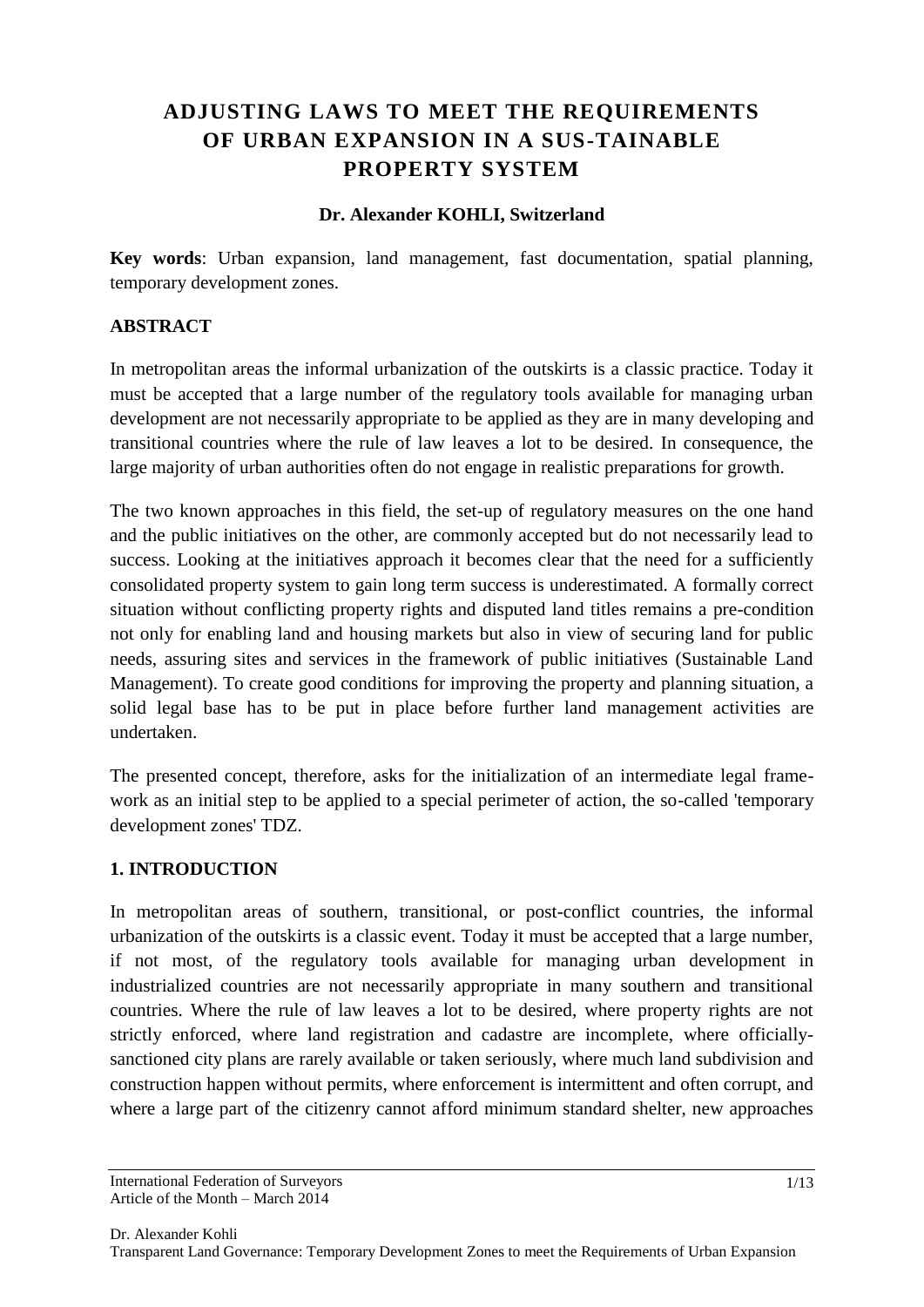# **ADJUSTING LAWS TO MEET THE REQUIREMENTS OF URBAN EXPANSION IN A SUS-TAINABLE PROPERTY SYSTEM**

#### **Dr. Alexander KOHLI, Switzerland**

**Key words**: Urban expansion, land management, fast documentation, spatial planning, temporary development zones.

#### **ABSTRACT**

In metropolitan areas the informal urbanization of the outskirts is a classic practice. Today it must be accepted that a large number of the regulatory tools available for managing urban development are not necessarily appropriate to be applied as they are in many developing and transitional countries where the rule of law leaves a lot to be desired. In consequence, the large majority of urban authorities often do not engage in realistic preparations for growth.

The two known approaches in this field, the set-up of regulatory measures on the one hand and the public initiatives on the other, are commonly accepted but do not necessarily lead to success. Looking at the initiatives approach it becomes clear that the need for a sufficiently consolidated property system to gain long term success is underestimated. A formally correct situation without conflicting property rights and disputed land titles remains a pre-condition not only for enabling land and housing markets but also in view of securing land for public needs, assuring sites and services in the framework of public initiatives (Sustainable Land Management). To create good conditions for improving the property and planning situation, a solid legal base has to be put in place before further land management activities are undertaken.

The presented concept, therefore, asks for the initialization of an intermediate legal framework as an initial step to be applied to a special perimeter of action, the so-called 'temporary development zones' TDZ.

#### **1. INTRODUCTION**

In metropolitan areas of southern, transitional, or post-conflict countries, the informal urbanization of the outskirts is a classic event. Today it must be accepted that a large number, if not most, of the regulatory tools available for managing urban development in industrialized countries are not necessarily appropriate in many southern and transitional countries. Where the rule of law leaves a lot to be desired, where property rights are not strictly enforced, where land registration and cadastre are incomplete, where officiallysanctioned city plans are rarely available or taken seriously, where much land subdivision and construction happen without permits, where enforcement is intermittent and often corrupt, and where a large part of the citizenry cannot afford minimum standard shelter, new approaches

International Federation of Surveyors Article of the Month – March 2014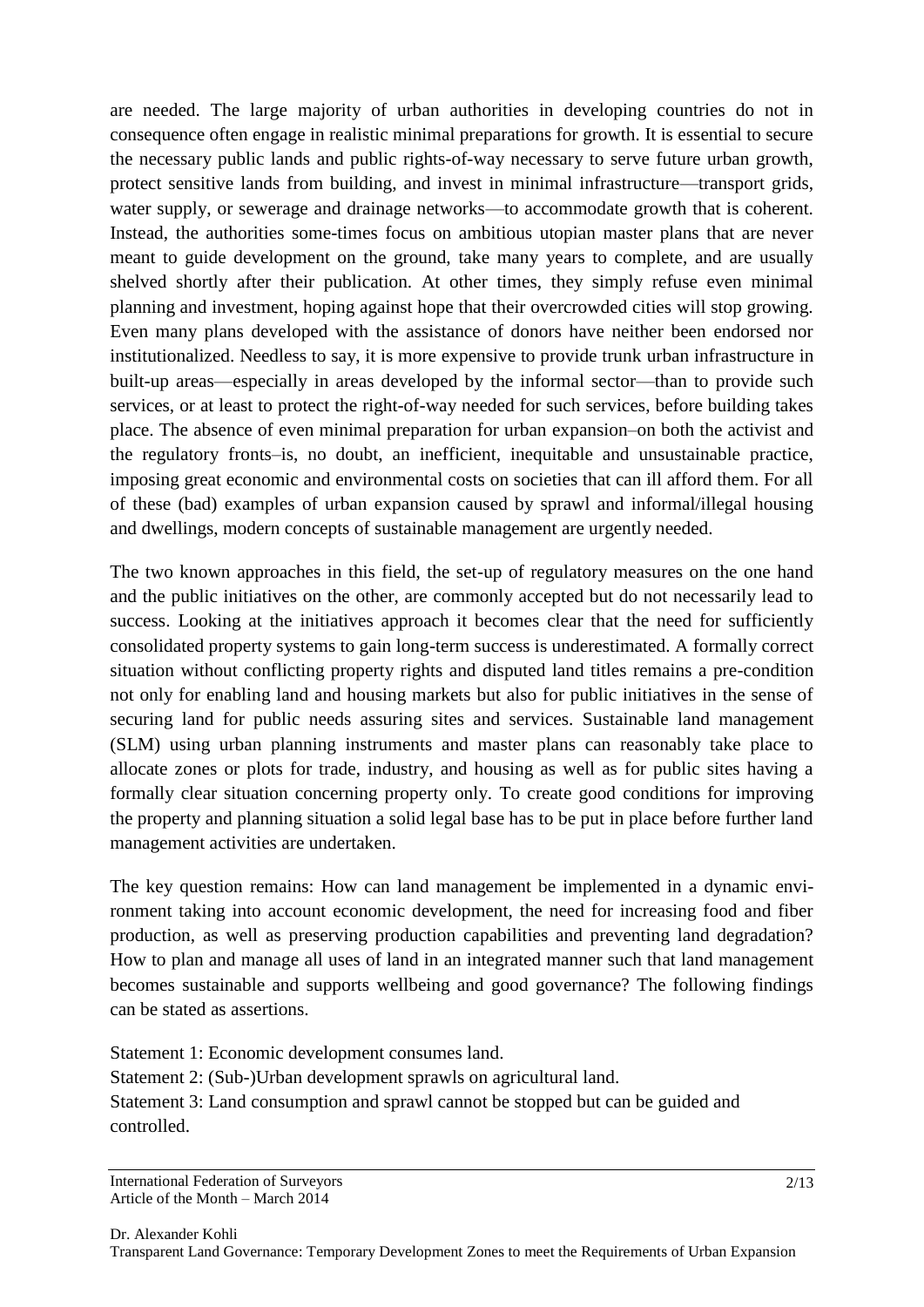are needed. The large majority of urban authorities in developing countries do not in consequence often engage in realistic minimal preparations for growth. It is essential to secure the necessary public lands and public rights-of-way necessary to serve future urban growth, protect sensitive lands from building, and invest in minimal infrastructure—transport grids, water supply, or sewerage and drainage networks—to accommodate growth that is coherent. Instead, the authorities some-times focus on ambitious utopian master plans that are never meant to guide development on the ground, take many years to complete, and are usually shelved shortly after their publication. At other times, they simply refuse even minimal planning and investment, hoping against hope that their overcrowded cities will stop growing. Even many plans developed with the assistance of donors have neither been endorsed nor institutionalized. Needless to say, it is more expensive to provide trunk urban infrastructure in built-up areas—especially in areas developed by the informal sector—than to provide such services, or at least to protect the right-of-way needed for such services, before building takes place. The absence of even minimal preparation for urban expansion–on both the activist and the regulatory fronts–is, no doubt, an inefficient, inequitable and unsustainable practice, imposing great economic and environmental costs on societies that can ill afford them. For all of these (bad) examples of urban expansion caused by sprawl and informal/illegal housing and dwellings, modern concepts of sustainable management are urgently needed.

The two known approaches in this field, the set-up of regulatory measures on the one hand and the public initiatives on the other, are commonly accepted but do not necessarily lead to success. Looking at the initiatives approach it becomes clear that the need for sufficiently consolidated property systems to gain long-term success is underestimated. A formally correct situation without conflicting property rights and disputed land titles remains a pre-condition not only for enabling land and housing markets but also for public initiatives in the sense of securing land for public needs assuring sites and services. Sustainable land management (SLM) using urban planning instruments and master plans can reasonably take place to allocate zones or plots for trade, industry, and housing as well as for public sites having a formally clear situation concerning property only. To create good conditions for improving the property and planning situation a solid legal base has to be put in place before further land management activities are undertaken.

The key question remains: How can land management be implemented in a dynamic environment taking into account economic development, the need for increasing food and fiber production, as well as preserving production capabilities and preventing land degradation? How to plan and manage all uses of land in an integrated manner such that land management becomes sustainable and supports wellbeing and good governance? The following findings can be stated as assertions.

Statement 1: Economic development consumes land. Statement 2: (Sub-)Urban development sprawls on agricultural land. Statement 3: Land consumption and sprawl cannot be stopped but can be guided and controlled.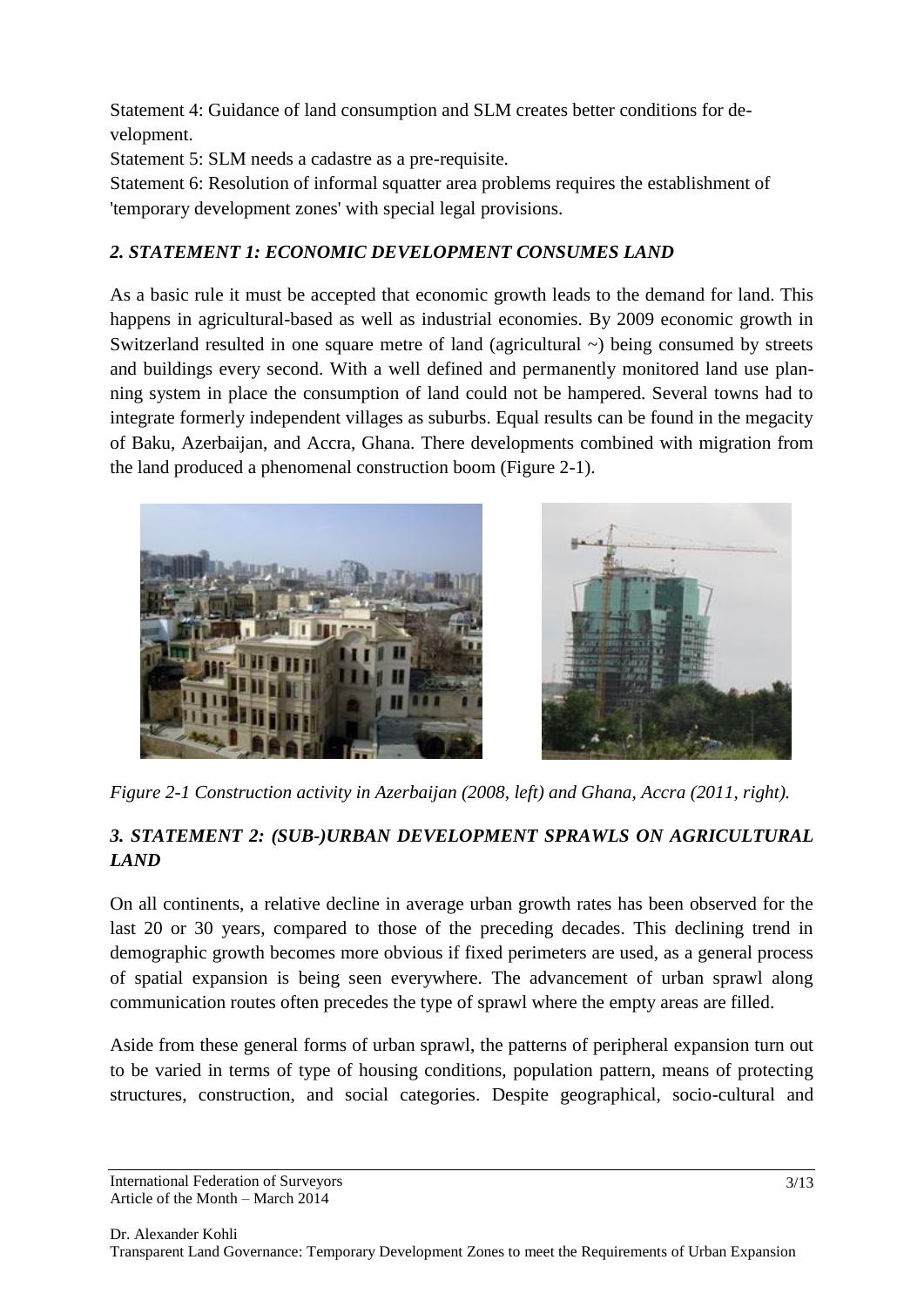Statement 4: Guidance of land consumption and SLM creates better conditions for development.

Statement 5: SLM needs a cadastre as a pre-requisite.

Statement 6: Resolution of informal squatter area problems requires the establishment of 'temporary development zones' with special legal provisions.

# *2. STATEMENT 1: ECONOMIC DEVELOPMENT CONSUMES LAND*

As a basic rule it must be accepted that economic growth leads to the demand for land. This happens in agricultural-based as well as industrial economies. By 2009 economic growth in Switzerland resulted in one square metre of land (agricultural  $\sim$ ) being consumed by streets and buildings every second. With a well defined and permanently monitored land use planning system in place the consumption of land could not be hampered. Several towns had to integrate formerly independent villages as suburbs. Equal results can be found in the megacity of Baku, Azerbaijan, and Accra, Ghana. There developments combined with migration from the land produced a phenomenal construction boom (Figure 2-1).



*Figure 2-1 Construction activity in Azerbaijan (2008, left) and Ghana, Accra (2011, right).*

# *3. STATEMENT 2: (SUB-)URBAN DEVELOPMENT SPRAWLS ON AGRICULTURAL LAND*

On all continents, a relative decline in average urban growth rates has been observed for the last 20 or 30 years, compared to those of the preceding decades. This declining trend in demographic growth becomes more obvious if fixed perimeters are used, as a general process of spatial expansion is being seen everywhere. The advancement of urban sprawl along communication routes often precedes the type of sprawl where the empty areas are filled.

Aside from these general forms of urban sprawl, the patterns of peripheral expansion turn out to be varied in terms of type of housing conditions, population pattern, means of protecting structures, construction, and social categories. Despite geographical, socio-cultural and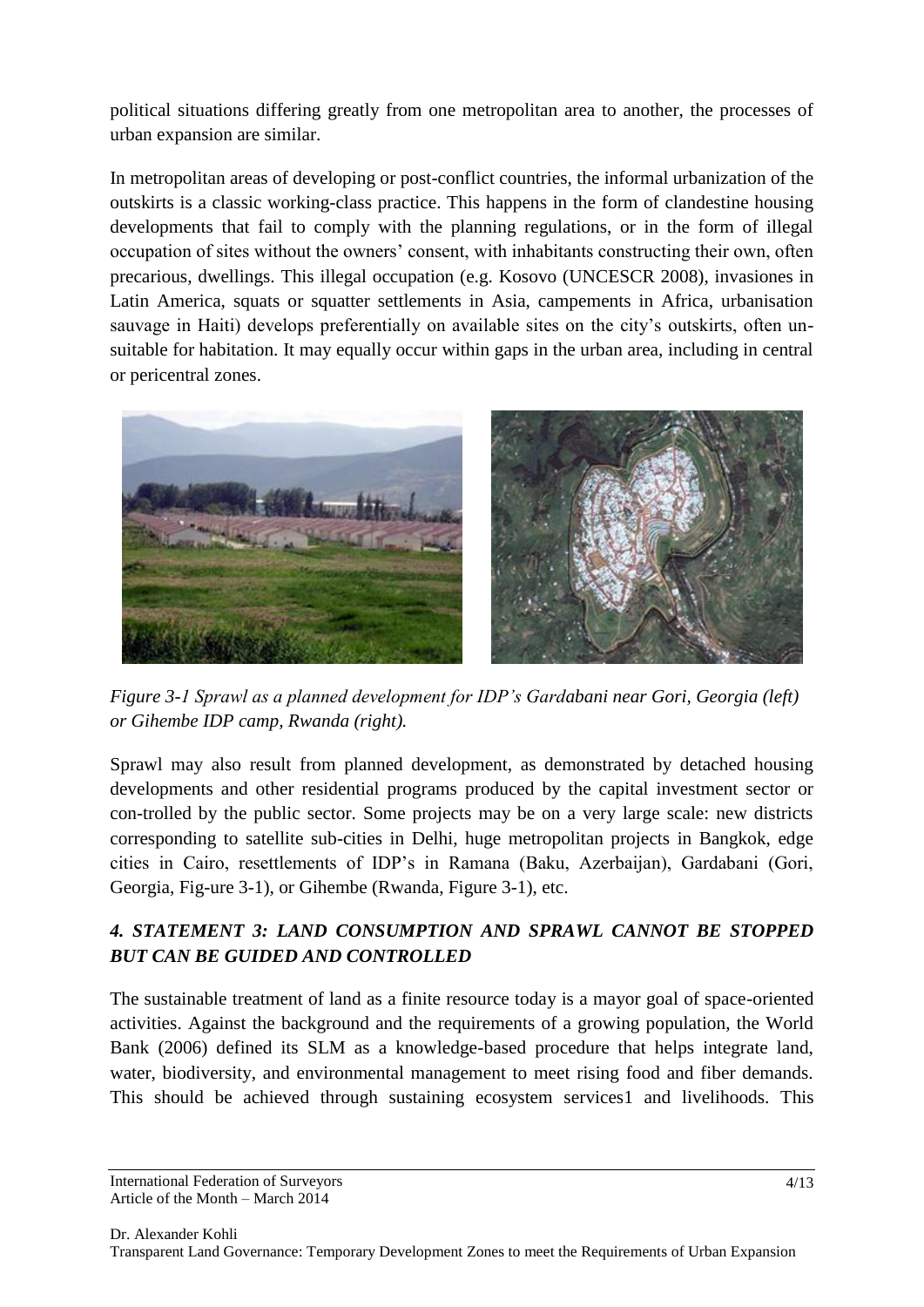political situations differing greatly from one metropolitan area to another, the processes of urban expansion are similar.

In metropolitan areas of developing or post-conflict countries, the informal urbanization of the outskirts is a classic working-class practice. This happens in the form of clandestine housing developments that fail to comply with the planning regulations, or in the form of illegal occupation of sites without the owners' consent, with inhabitants constructing their own, often precarious, dwellings. This illegal occupation (e.g. Kosovo (UNCESCR 2008), invasiones in Latin America, squats or squatter settlements in Asia, campements in Africa, urbanisation sauvage in Haiti) develops preferentially on available sites on the city's outskirts, often unsuitable for habitation. It may equally occur within gaps in the urban area, including in central or pericentral zones.



*Figure 3-1 Sprawl as a planned development for IDP's Gardabani near Gori, Georgia (left) or Gihembe IDP camp, Rwanda (right).*

Sprawl may also result from planned development, as demonstrated by detached housing developments and other residential programs produced by the capital investment sector or con-trolled by the public sector. Some projects may be on a very large scale: new districts corresponding to satellite sub-cities in Delhi, huge metropolitan projects in Bangkok, edge cities in Cairo, resettlements of IDP's in Ramana (Baku, Azerbaijan), Gardabani (Gori, Georgia, Fig-ure 3-1), or Gihembe (Rwanda, Figure 3-1), etc.

## *4. STATEMENT 3: LAND CONSUMPTION AND SPRAWL CANNOT BE STOPPED BUT CAN BE GUIDED AND CONTROLLED*

The sustainable treatment of land as a finite resource today is a mayor goal of space-oriented activities. Against the background and the requirements of a growing population, the World Bank (2006) defined its SLM as a knowledge-based procedure that helps integrate land, water, biodiversity, and environmental management to meet rising food and fiber demands. This should be achieved through sustaining ecosystem services1 and livelihoods. This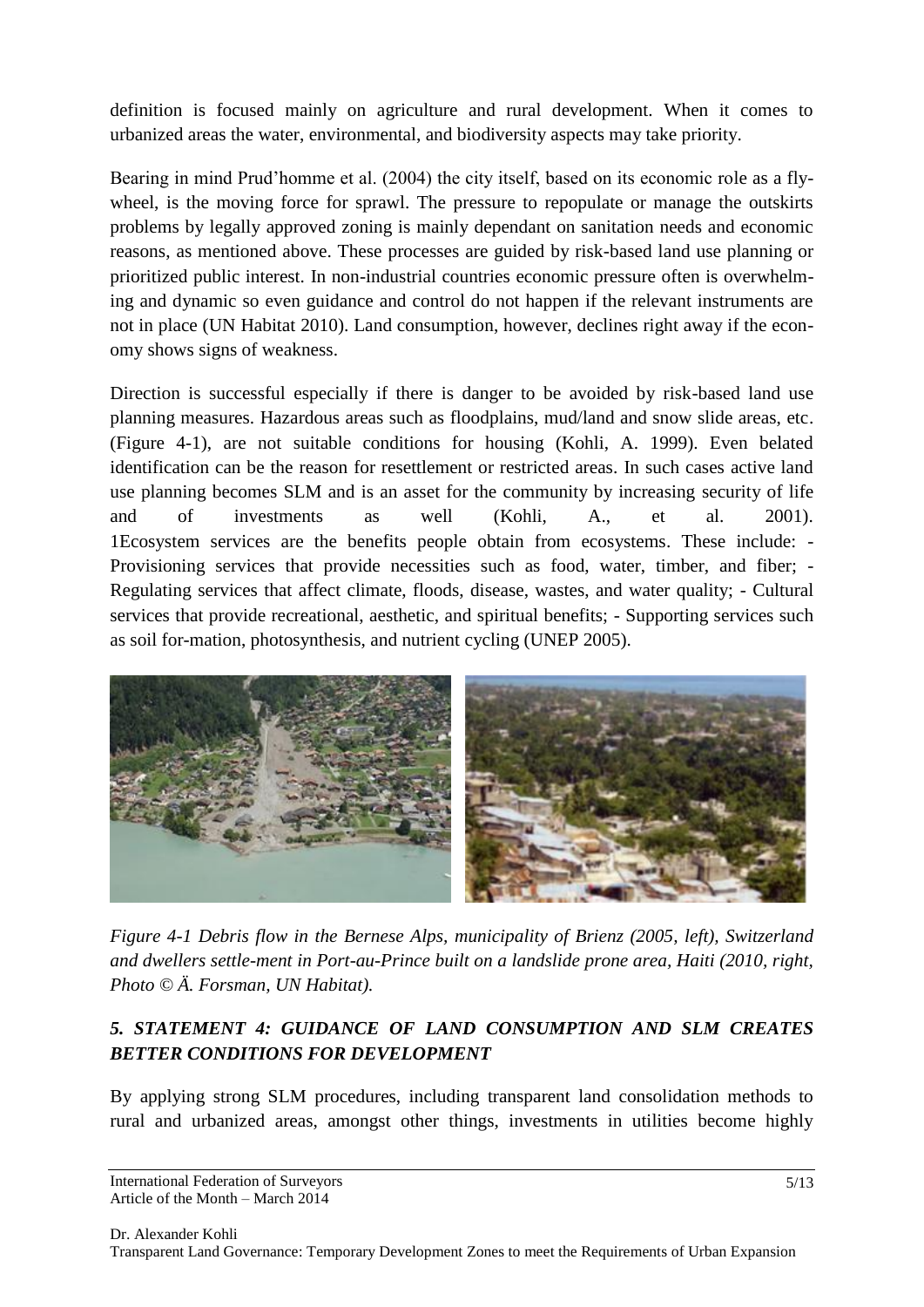definition is focused mainly on agriculture and rural development. When it comes to urbanized areas the water, environmental, and biodiversity aspects may take priority.

Bearing in mind Prud'homme et al. (2004) the city itself, based on its economic role as a flywheel, is the moving force for sprawl. The pressure to repopulate or manage the outskirts problems by legally approved zoning is mainly dependant on sanitation needs and economic reasons, as mentioned above. These processes are guided by risk-based land use planning or prioritized public interest. In non-industrial countries economic pressure often is overwhelming and dynamic so even guidance and control do not happen if the relevant instruments are not in place (UN Habitat 2010). Land consumption, however, declines right away if the economy shows signs of weakness.

Direction is successful especially if there is danger to be avoided by risk-based land use planning measures. Hazardous areas such as floodplains, mud/land and snow slide areas, etc. (Figure 4-1), are not suitable conditions for housing (Kohli, A. 1999). Even belated identification can be the reason for resettlement or restricted areas. In such cases active land use planning becomes SLM and is an asset for the community by increasing security of life and of investments as well (Kohli, A., et al. 2001). 1Ecosystem services are the benefits people obtain from ecosystems. These include: - Provisioning services that provide necessities such as food, water, timber, and fiber; - Regulating services that affect climate, floods, disease, wastes, and water quality; - Cultural services that provide recreational, aesthetic, and spiritual benefits; - Supporting services such as soil for-mation, photosynthesis, and nutrient cycling (UNEP 2005).



*Figure 4-1 Debris flow in the Bernese Alps, municipality of Brienz (2005, left), Switzerland and dwellers settle-ment in Port-au-Prince built on a landslide prone area, Haiti (2010, right, Photo © Ä. Forsman, UN Habitat).*

## *5. STATEMENT 4: GUIDANCE OF LAND CONSUMPTION AND SLM CREATES BETTER CONDITIONS FOR DEVELOPMENT*

By applying strong SLM procedures, including transparent land consolidation methods to rural and urbanized areas, amongst other things, investments in utilities become highly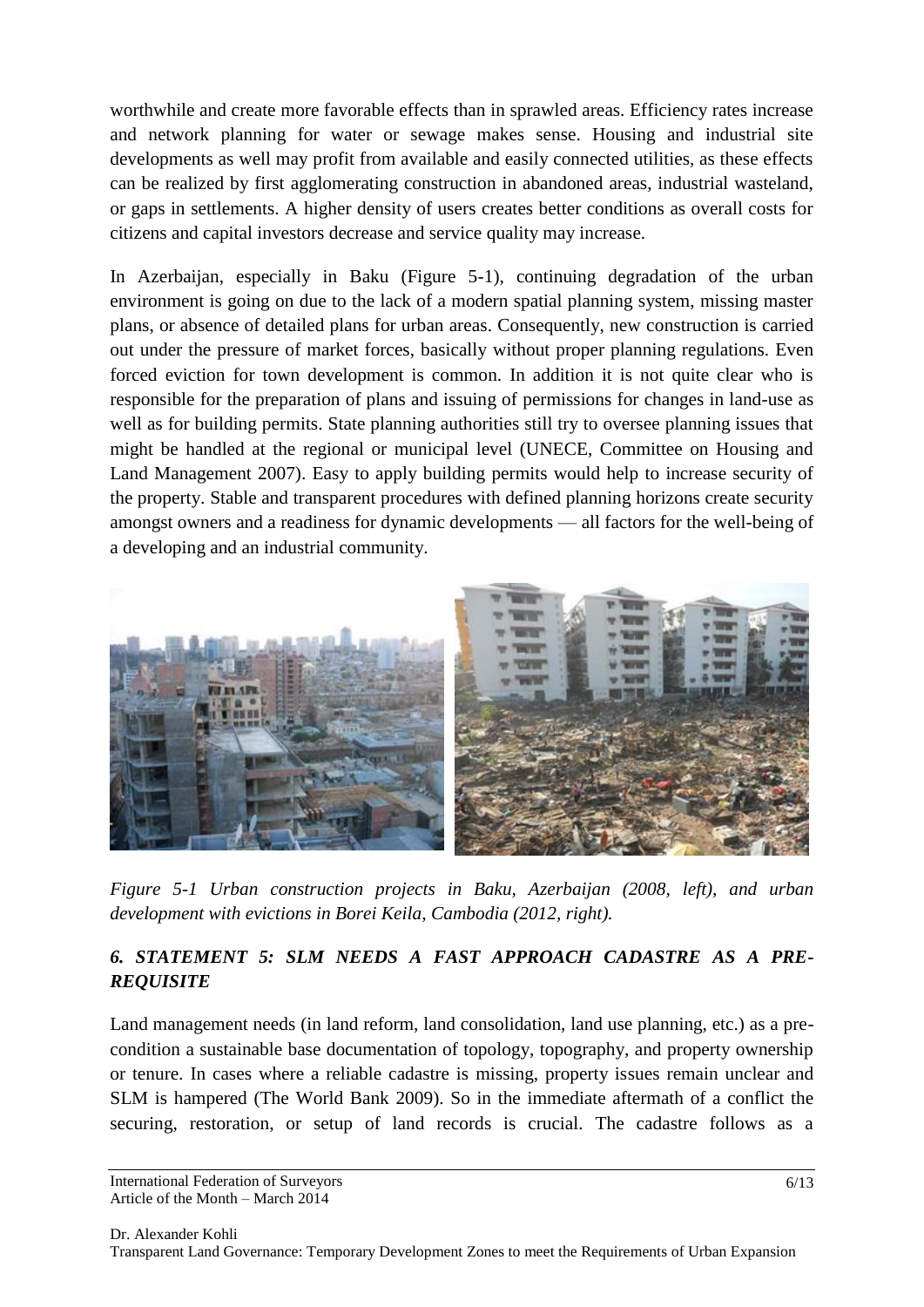worthwhile and create more favorable effects than in sprawled areas. Efficiency rates increase and network planning for water or sewage makes sense. Housing and industrial site developments as well may profit from available and easily connected utilities, as these effects can be realized by first agglomerating construction in abandoned areas, industrial wasteland, or gaps in settlements. A higher density of users creates better conditions as overall costs for citizens and capital investors decrease and service quality may increase.

In Azerbaijan, especially in Baku (Figure 5-1), continuing degradation of the urban environment is going on due to the lack of a modern spatial planning system, missing master plans, or absence of detailed plans for urban areas. Consequently, new construction is carried out under the pressure of market forces, basically without proper planning regulations. Even forced eviction for town development is common. In addition it is not quite clear who is responsible for the preparation of plans and issuing of permissions for changes in land-use as well as for building permits. State planning authorities still try to oversee planning issues that might be handled at the regional or municipal level (UNECE, Committee on Housing and Land Management 2007). Easy to apply building permits would help to increase security of the property. Stable and transparent procedures with defined planning horizons create security amongst owners and a readiness for dynamic developments — all factors for the well-being of a developing and an industrial community.



*Figure 5-1 Urban construction projects in Baku, Azerbaijan (2008, left), and urban development with evictions in Borei Keila, Cambodia (2012, right).*

## *6. STATEMENT 5: SLM NEEDS A FAST APPROACH CADASTRE AS A PRE-REQUISITE*

Land management needs (in land reform, land consolidation, land use planning, etc.) as a precondition a sustainable base documentation of topology, topography, and property ownership or tenure. In cases where a reliable cadastre is missing, property issues remain unclear and SLM is hampered (The World Bank 2009). So in the immediate aftermath of a conflict the securing, restoration, or setup of land records is crucial. The cadastre follows as a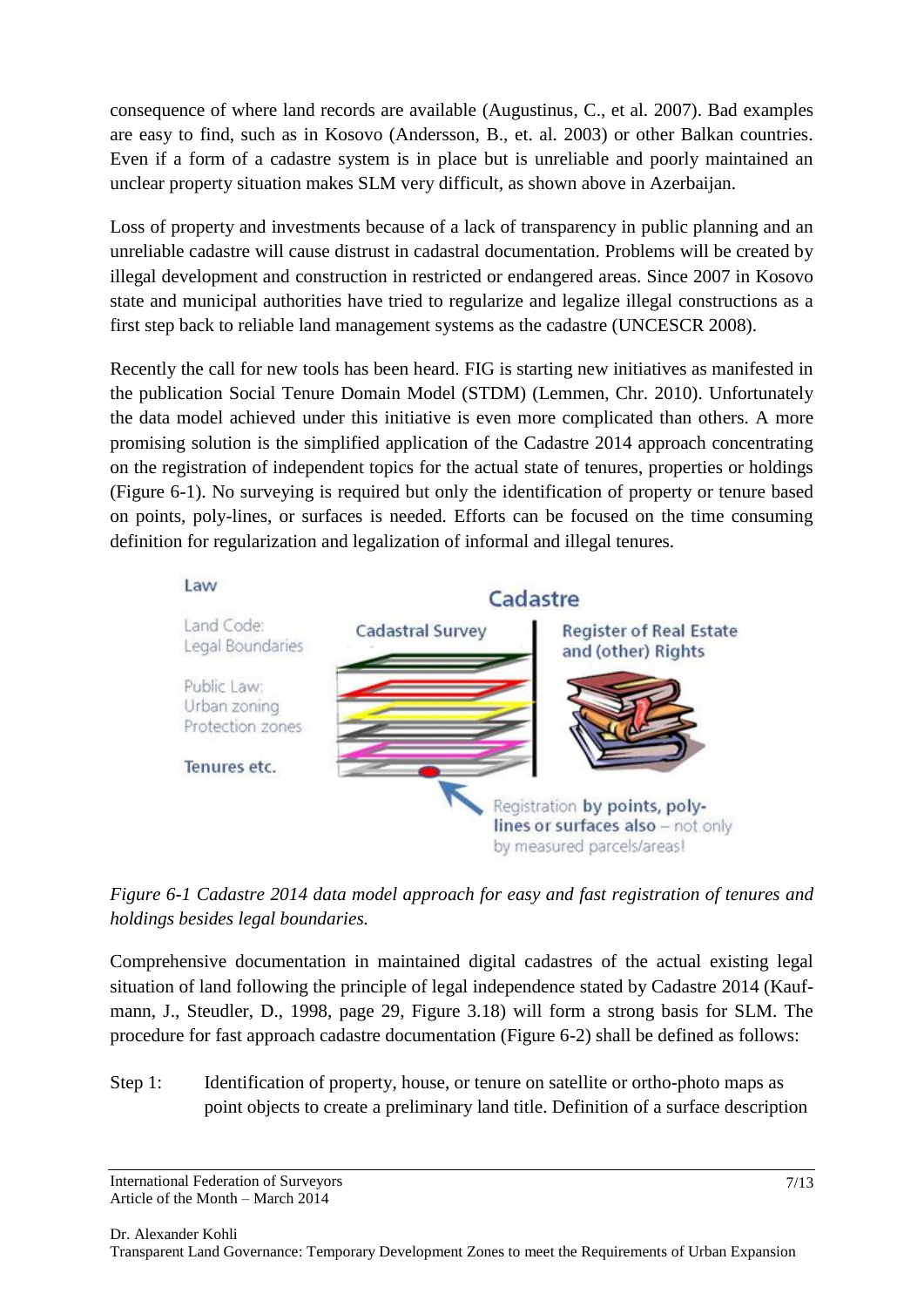consequence of where land records are available (Augustinus, C., et al. 2007). Bad examples are easy to find, such as in Kosovo (Andersson, B., et. al. 2003) or other Balkan countries. Even if a form of a cadastre system is in place but is unreliable and poorly maintained an unclear property situation makes SLM very difficult, as shown above in Azerbaijan.

Loss of property and investments because of a lack of transparency in public planning and an unreliable cadastre will cause distrust in cadastral documentation. Problems will be created by illegal development and construction in restricted or endangered areas. Since 2007 in Kosovo state and municipal authorities have tried to regularize and legalize illegal constructions as a first step back to reliable land management systems as the cadastre (UNCESCR 2008).

Recently the call for new tools has been heard. FIG is starting new initiatives as manifested in the publication Social Tenure Domain Model (STDM) (Lemmen, Chr. 2010). Unfortunately the data model achieved under this initiative is even more complicated than others. A more promising solution is the simplified application of the Cadastre 2014 approach concentrating on the registration of independent topics for the actual state of tenures, properties or holdings (Figure 6-1). No surveying is required but only the identification of property or tenure based on points, poly-lines, or surfaces is needed. Efforts can be focused on the time consuming definition for regularization and legalization of informal and illegal tenures.





Comprehensive documentation in maintained digital cadastres of the actual existing legal situation of land following the principle of legal independence stated by Cadastre 2014 (Kaufmann, J., Steudler, D., 1998, page 29, Figure 3.18) will form a strong basis for SLM. The procedure for fast approach cadastre documentation (Figure 6-2) shall be defined as follows:

Step 1: Identification of property, house, or tenure on satellite or ortho-photo maps as point objects to create a preliminary land title. Definition of a surface description

International Federation of Surveyors Article of the Month – March 2014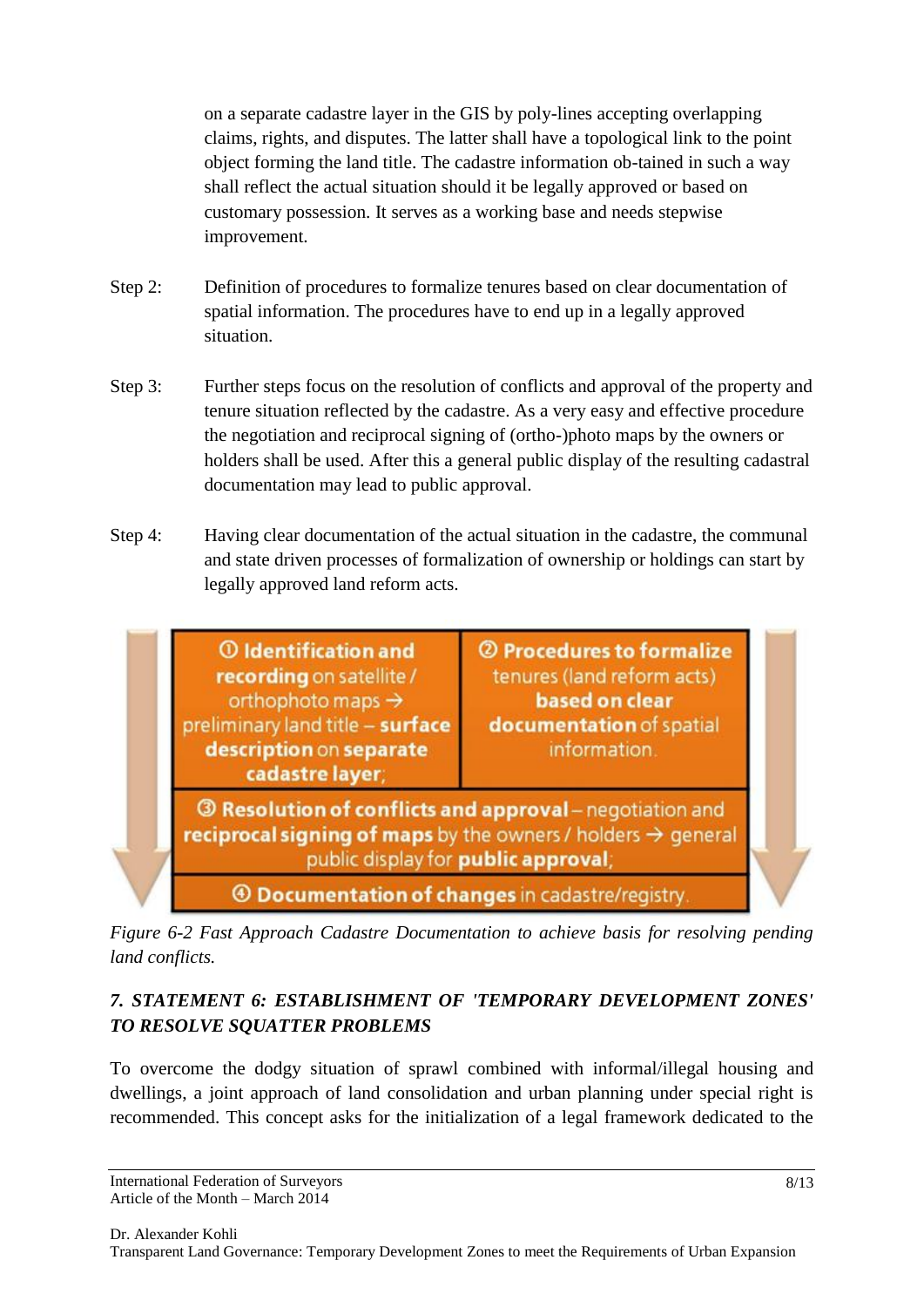on a separate cadastre layer in the GIS by poly-lines accepting overlapping claims, rights, and disputes. The latter shall have a topological link to the point object forming the land title. The cadastre information ob-tained in such a way shall reflect the actual situation should it be legally approved or based on customary possession. It serves as a working base and needs stepwise improvement.

- Step 2: Definition of procedures to formalize tenures based on clear documentation of spatial information. The procedures have to end up in a legally approved situation.
- Step 3: Further steps focus on the resolution of conflicts and approval of the property and tenure situation reflected by the cadastre. As a very easy and effective procedure the negotiation and reciprocal signing of (ortho-)photo maps by the owners or holders shall be used. After this a general public display of the resulting cadastral documentation may lead to public approval.
- Step 4: Having clear documentation of the actual situation in the cadastre, the communal and state driven processes of formalization of ownership or holdings can start by legally approved land reform acts.



*Figure 6-2 Fast Approach Cadastre Documentation to achieve basis for resolving pending land conflicts.*

# *7. STATEMENT 6: ESTABLISHMENT OF 'TEMPORARY DEVELOPMENT ZONES' TO RESOLVE SQUATTER PROBLEMS*

To overcome the dodgy situation of sprawl combined with informal/illegal housing and dwellings, a joint approach of land consolidation and urban planning under special right is recommended. This concept asks for the initialization of a legal framework dedicated to the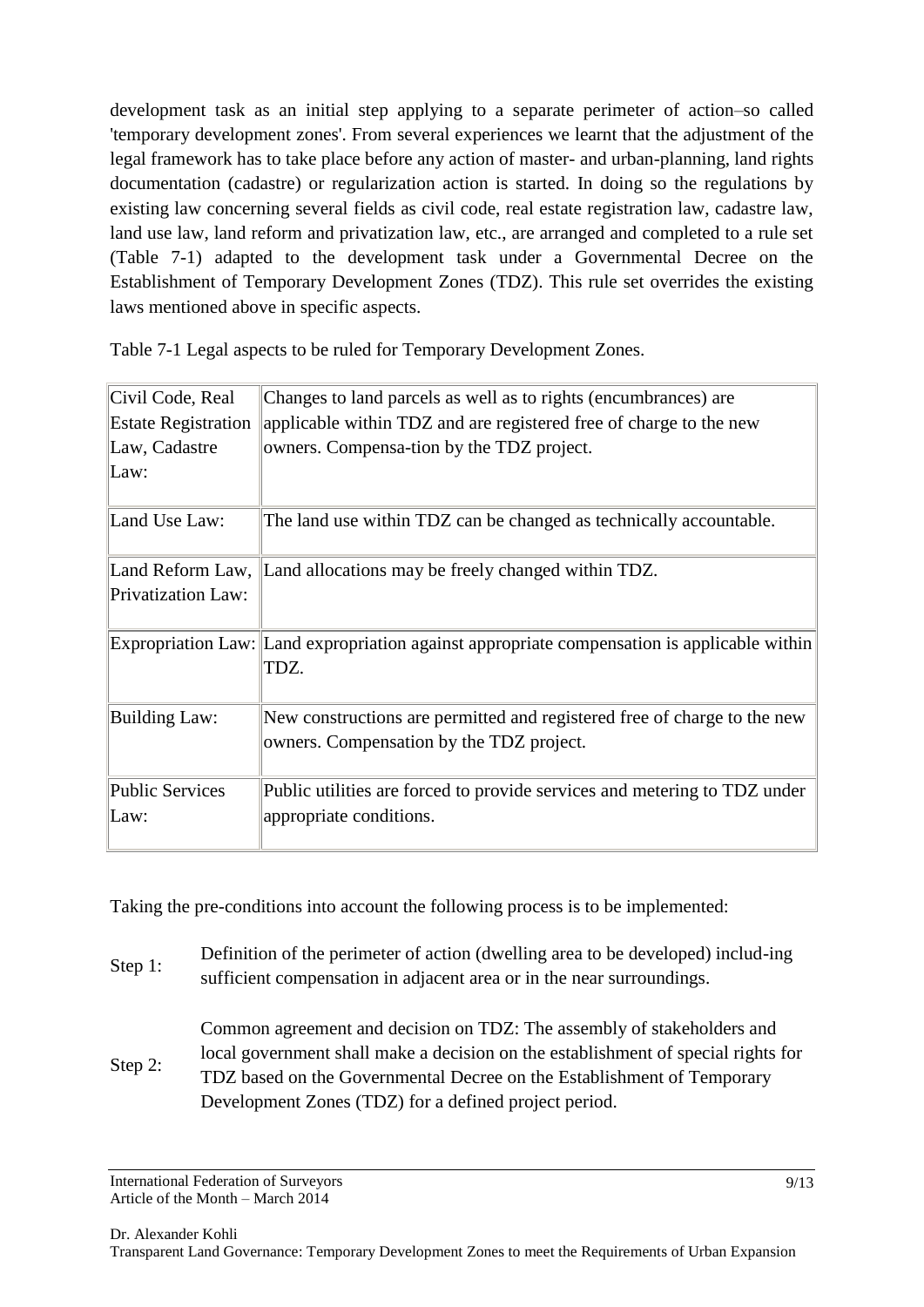development task as an initial step applying to a separate perimeter of action–so called 'temporary development zones'. From several experiences we learnt that the adjustment of the legal framework has to take place before any action of master- and urban-planning, land rights documentation (cadastre) or regularization action is started. In doing so the regulations by existing law concerning several fields as civil code, real estate registration law, cadastre law, land use law, land reform and privatization law, etc., are arranged and completed to a rule set (Table 7-1) adapted to the development task under a Governmental Decree on the Establishment of Temporary Development Zones (TDZ). This rule set overrides the existing laws mentioned above in specific aspects.

| Changes to land parcels as well as to rights (encumbrances) are                                                      |
|----------------------------------------------------------------------------------------------------------------------|
| applicable within TDZ and are registered free of charge to the new                                                   |
| owners. Compensa-tion by the TDZ project.                                                                            |
|                                                                                                                      |
| The land use within TDZ can be changed as technically accountable.                                                   |
| Land Reform Law, Land allocations may be freely changed within TDZ.                                                  |
|                                                                                                                      |
| Expropriation Law: Land expropriation against appropriate compensation is applicable within<br>TDZ.                  |
| New constructions are permitted and registered free of charge to the new<br>owners. Compensation by the TDZ project. |
| Public utilities are forced to provide services and metering to TDZ under<br>appropriate conditions.                 |
|                                                                                                                      |

Table 7-1 Legal aspects to be ruled for Temporary Development Zones.

Taking the pre-conditions into account the following process is to be implemented:

- Step 1: Definition of the perimeter of action (dwelling area to be developed) includ-ing sufficient compensation in adjacent area or in the near surroundings.
- Step 2: Common agreement and decision on TDZ: The assembly of stakeholders and local government shall make a decision on the establishment of special rights for TDZ based on the Governmental Decree on the Establishment of Temporary Development Zones (TDZ) for a defined project period.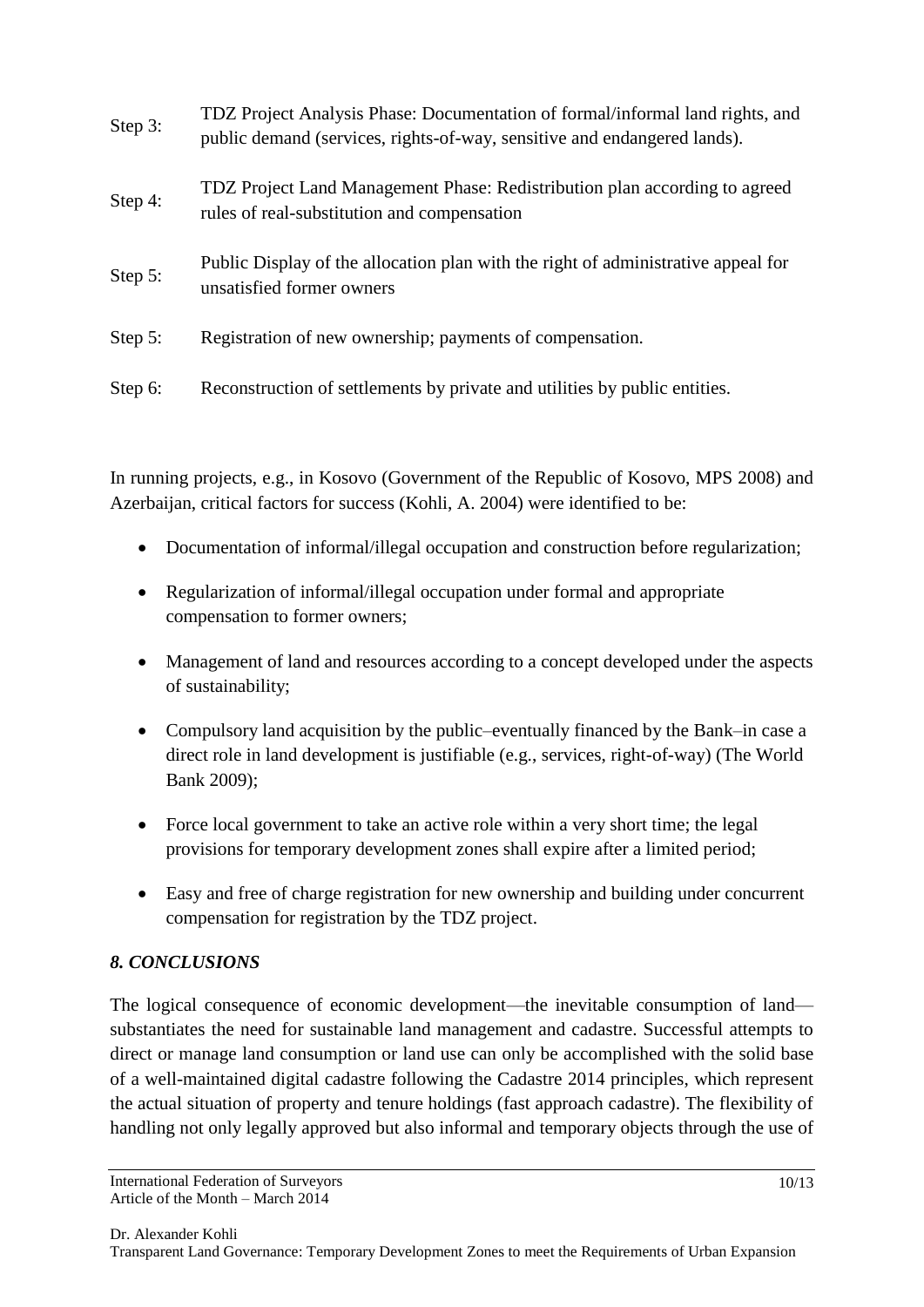| Step 3: | TDZ Project Analysis Phase: Documentation of formal/informal land rights, and<br>public demand (services, rights-of-way, sensitive and endangered lands). |
|---------|-----------------------------------------------------------------------------------------------------------------------------------------------------------|
| Step 4: | TDZ Project Land Management Phase: Redistribution plan according to agreed<br>rules of real-substitution and compensation                                 |
| Step 5: | Public Display of the allocation plan with the right of administrative appeal for<br>unsatisfied former owners                                            |
| Step 5: | Registration of new ownership; payments of compensation.                                                                                                  |
| Step 6: | Reconstruction of settlements by private and utilities by public entities.                                                                                |

In running projects, e.g., in Kosovo (Government of the Republic of Kosovo, MPS 2008) and Azerbaijan, critical factors for success (Kohli, A. 2004) were identified to be:

- Documentation of informal/illegal occupation and construction before regularization;
- Regularization of informal/illegal occupation under formal and appropriate compensation to former owners;
- Management of land and resources according to a concept developed under the aspects of sustainability;
- Compulsory land acquisition by the public–eventually financed by the Bank–in case a direct role in land development is justifiable (e.g., services, right-of-way) (The World Bank 2009);
- Force local government to take an active role within a very short time; the legal provisions for temporary development zones shall expire after a limited period;
- Easy and free of charge registration for new ownership and building under concurrent compensation for registration by the TDZ project.

## *8. CONCLUSIONS*

The logical consequence of economic development—the inevitable consumption of land substantiates the need for sustainable land management and cadastre. Successful attempts to direct or manage land consumption or land use can only be accomplished with the solid base of a well-maintained digital cadastre following the Cadastre 2014 principles, which represent the actual situation of property and tenure holdings (fast approach cadastre). The flexibility of handling not only legally approved but also informal and temporary objects through the use of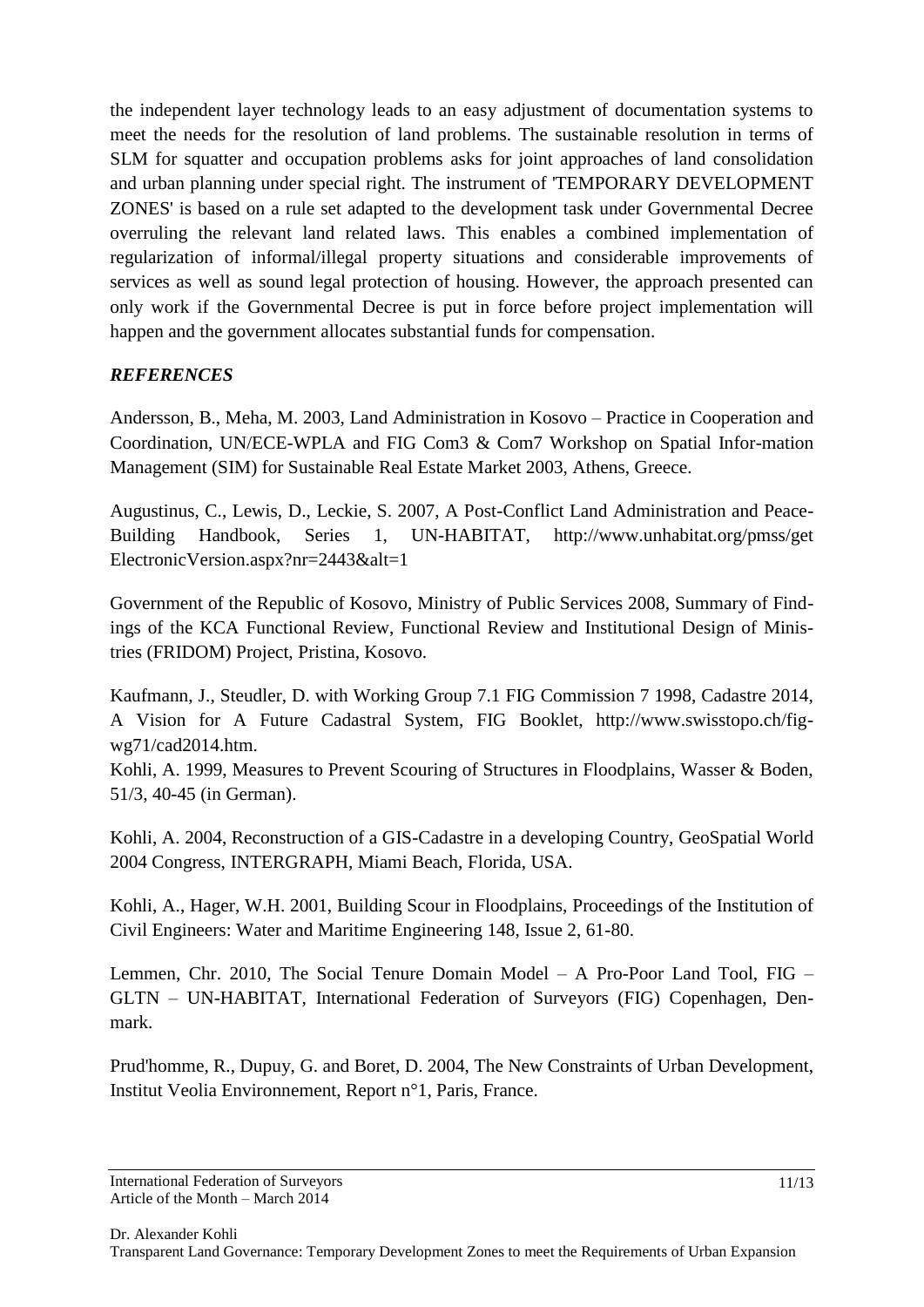the independent layer technology leads to an easy adjustment of documentation systems to meet the needs for the resolution of land problems. The sustainable resolution in terms of SLM for squatter and occupation problems asks for joint approaches of land consolidation and urban planning under special right. The instrument of 'TEMPORARY DEVELOPMENT ZONES' is based on a rule set adapted to the development task under Governmental Decree overruling the relevant land related laws. This enables a combined implementation of regularization of informal/illegal property situations and considerable improvements of services as well as sound legal protection of housing. However, the approach presented can only work if the Governmental Decree is put in force before project implementation will happen and the government allocates substantial funds for compensation.

#### *REFERENCES*

Andersson, B., Meha, M. 2003, Land Administration in Kosovo – Practice in Cooperation and Coordination, UN/ECE-WPLA and FIG Com3 & Com7 Workshop on Spatial Infor-mation Management (SIM) for Sustainable Real Estate Market 2003, Athens, Greece.

Augustinus, C., Lewis, D., Leckie, S. 2007, A Post-Conflict Land Administration and Peace-Building Handbook, Series 1, UN-HABITAT, http://www.unhabitat.org/pmss/get ElectronicVersion.aspx?nr=2443&alt=1

Government of the Republic of Kosovo, Ministry of Public Services 2008, Summary of Findings of the KCA Functional Review, Functional Review and Institutional Design of Ministries (FRIDOM) Project, Pristina, Kosovo.

Kaufmann, J., Steudler, D. with Working Group 7.1 FIG Commission 7 1998, Cadastre 2014, A Vision for A Future Cadastral System, FIG Booklet, http://www.swisstopo.ch/figwg71/cad2014.htm.

Kohli, A. 1999, Measures to Prevent Scouring of Structures in Floodplains, Wasser & Boden, 51/3, 40-45 (in German).

Kohli, A. 2004, Reconstruction of a GIS-Cadastre in a developing Country, GeoSpatial World 2004 Congress, INTERGRAPH, Miami Beach, Florida, USA.

Kohli, A., Hager, W.H. 2001, Building Scour in Floodplains, Proceedings of the Institution of Civil Engineers: Water and Maritime Engineering 148, Issue 2, 61-80.

Lemmen, Chr. 2010, The Social Tenure Domain Model – A Pro-Poor Land Tool, FIG – GLTN – UN-HABITAT, International Federation of Surveyors (FIG) Copenhagen, Denmark.

Prud'homme, R., Dupuy, G. and Boret, D. 2004, The New Constraints of Urban Development, Institut Veolia Environnement, Report n°1, Paris, France.

International Federation of Surveyors Article of the Month – March 2014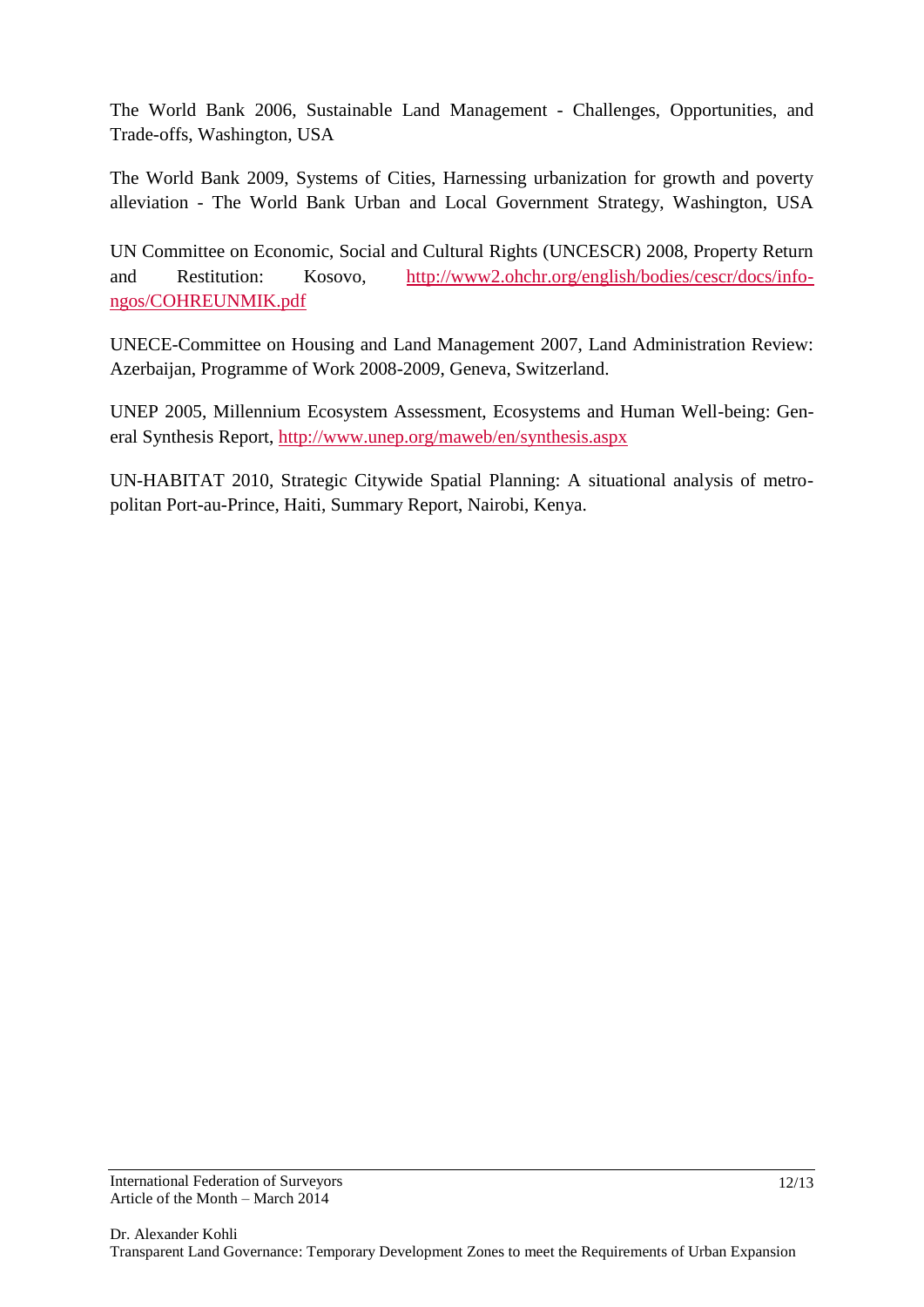The World Bank 2006, Sustainable Land Management - Challenges, Opportunities, and Trade-offs, Washington, USA

The World Bank 2009, Systems of Cities, Harnessing urbanization for growth and poverty alleviation - The World Bank Urban and Local Government Strategy, Washington, USA

UN Committee on Economic, Social and Cultural Rights (UNCESCR) 2008, Property Return and Restitution: Kosovo, [http://www2.ohchr.org/english/bodies/cescr/docs/info](http://www2.ohchr.org/english/bodies/cescr/docs/info-ngos/COHREUNMIK.pdf)[ngos/COHREUNMIK.pdf](http://www2.ohchr.org/english/bodies/cescr/docs/info-ngos/COHREUNMIK.pdf)

UNECE-Committee on Housing and Land Management 2007, Land Administration Review: Azerbaijan, Programme of Work 2008-2009, Geneva, Switzerland.

UNEP 2005, Millennium Ecosystem Assessment, Ecosystems and Human Well-being: General Synthesis Report,<http://www.unep.org/maweb/en/synthesis.aspx>

UN-HABITAT 2010, Strategic Citywide Spatial Planning: A situational analysis of metropolitan Port-au-Prince, Haiti, Summary Report, Nairobi, Kenya.